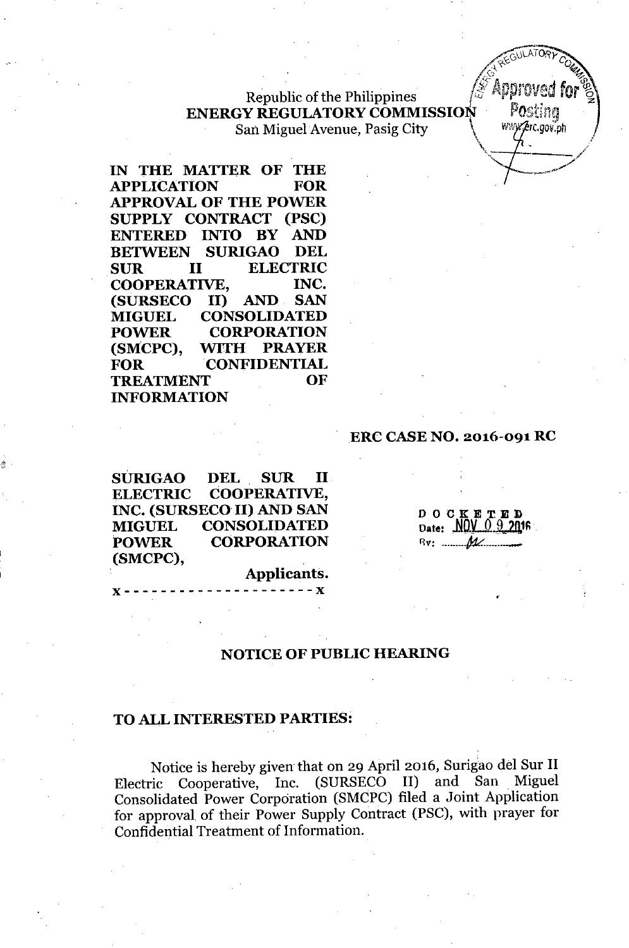# Republic of the Philippines **ENERGY REGULATORY COMMISSION POSITION** San Miguel Avenue, Pasig City  $\mathbb{N}\longrightarrow \mathbb{N}\longrightarrow \mathbb{N}\longrightarrow \mathbb{N}\longrightarrow \mathbb{N}\longrightarrow \mathbb{N}\longrightarrow \mathbb{N}\longrightarrow \mathbb{N}\longrightarrow \mathbb{N}\longrightarrow \mathbb{N}\longrightarrow \mathbb{N}\longrightarrow \mathbb{N}\longrightarrow \mathbb{N}\longrightarrow \mathbb{N}\longrightarrow \mathbb{N}\longrightarrow \mathbb{N}\longrightarrow \mathbb{N}\longrightarrow \mathbb{N}\longrightarrow \mathbb{N}\longrightarrow \mathbb{N}\longrightarrow \mathbb{N}\longrightarrow \mathbb{N}\longrightarrow \mathbb{N}\longrightarrow \mathbb{N}\longrightarrow \mathbb{N}\longrightarrow \mathbb{N}\longrightarrow \mathbb{N}\longrightarrow \$



#### ,ERe **CASE NO. 2016-091 RC**

**SURIGAO DEL SUR II ELECTRIC COOPERATIVE, INC. (SURSECO II) AND SAN MIGUEL CONSOLIDATED POWER CORPORATION (SMCPC),**

&.

**Applicants.** "- - - - - - - - - - - - - - - - - - - - -"

**DOCKE** D O C K E T E D<br>Date:.NOV 0 9 2016 flv: *ML. \_-*

*~ORyc:*

REGULATION COMP . *f*<sub>c</sub>, *... ... ...* 

 $\frac{1}{2}$ 

',.- "\

# **NOTICE OF PUBLIC HEARING**

#### **TO ALL INTERESTED PARTIES:**

Notice is hereby given that on 29 April 2016, Surigao del Sur II Electric Cooperative, Inc. (SURSECO II) and San Miguel Consolidated Power Corporation (SMCPC) filed a Joint Application for approval of their Power Supply Contract (PSC), with prayer for Confidential Treatment of Information.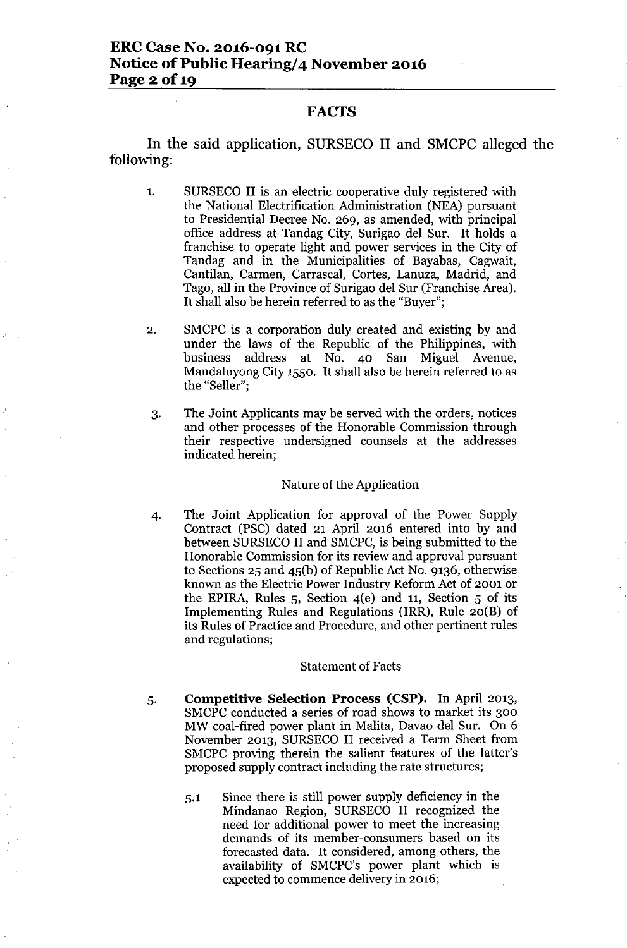## ERC Case No. 2016-091 RC Notice of Public Hearing/4 November 2016 Page 2 of 19

### FACTS

In the said application, SURSECO II and SMCPC alleged the following:

- 1. SURSECO II is an electric cooperative duly registered with the National Electrification Administration (NEA) pursuant to Presidential Decree No. 269, as amended, with principal office address at Tandag City, Surigao del Sur. It holds a franchise to operate light and power services in the City of Tandag and in the Municipalities of Bayabas, Cagwait, Cantilan, Carmen, Carrascal, Cortes, Lanuza, Madrid, and Tago, all in the Province of Surigao del Sur (Franchise Area). It shall also be herein referred to as the "Buyer";
- 2. SMCPC is a corporation duly created and existing by and under the laws of the Republic of the Philippines, with business address at No. 40 San Miguel Avenue, Mandaluyong City 1550. It shall also be herein referred to as the "Seller";
- 3. The Joint Applicants may be served with the orders, notices and other processes of the Honorable Commission through their respective undersigned counsels at the addresses indicated herein;

#### Nature of the Application

4. The Joint Application for approval of the Power Supply Contract (PSC) dated 21 April 2016 entered into by and between SURSECO II and SMCPC, is being submitted to the Honorable Commission for its review and approval pursuant to Sections 25 and 45(b) of Republic Act No. 9136, otherwise known as the Electric Power Industry Reform Act of 2001 or the EPIRA, Rules  $5$ , Section  $4(e)$  and  $11$ , Section  $5$  of its Implementing Rules and Regulations (IRR), Rule 20(B) of its Rules of Practice and Procedure, and other pertinent rules and regulations;

#### Statement of Facts

- 5. Competitive Selection Process (CSP). In April 2013, SMCPC conducted a series of road shows to market its 300 MW coal-fired power plant in Malita, Davao del Sur. On 6 November 2013, SURSECO II received a Term Sheet from SMCPC proving therein the salient features of the latter's proposed supply contract including the rate structures;
	- 5.1 Since there is still power supply deficiency in the Mindanao Region, SURSECO II recognized the need for additional power to meet the increasing demands of its member-consumers based on its forecasted data. It considered, among others, the availability of SMCPC's power plant which is expected to commence delivery in 2016;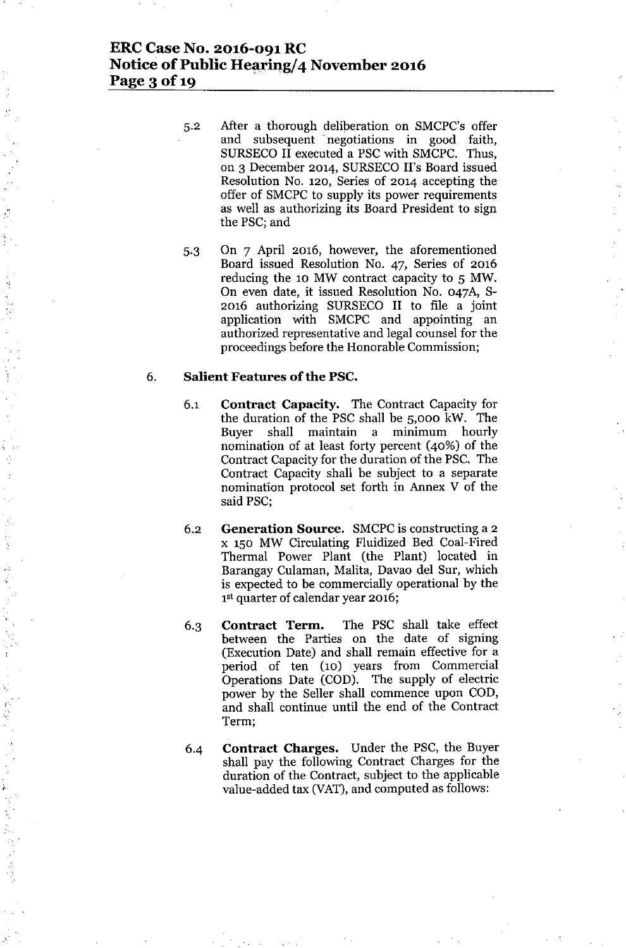# **ERC Case No. 2016-091 RC Notice of Public Hearing/4 November 2016 Page 3 of 19 "**

- 5.2 After a thorough deliberation on SMCPC's offer and subsequent ' negotiations in good faith, SURSECO II executed a PSC with SMCPC. Thus, on 3 December 2014, SURSECO II's Board issued Resolution No. 120, Series of 2014 accepting the offer of SMCPC to supply its power requirements as well as authorizing its Board President to sign the PSC; and
- 5.3 On 7 April 2016, however, the aforementioned Board issued Resolution No. 47, Series of 2016 reducing the 10 MW contract capacity to 5 MW. On even date, it issued Resolution No. 047A, S-2016 authorizing SURSECO II to file a joint application with SMCPC and appointing an authorized representative and legal counsel for the proceedings before the Honorable Commission;

### 6. **Salient Features ofthe PSC.**

,,:,

 $\frac{1}{2}$ 

,', :,:

- 6.1 **Contract Capacity.** The Contract Capacity for the duration of the PSC shall be 5,000 kW. The Buyer shall maintain a minimum hourly nomination of at least forty percent (40%) of the Contract Capacity for the duration of the PSC. The Contract Capacity shall be subject to a separate nomination protocol set forth in Annex V of the said PSC;
- 6.2 **Generation Source.** SMCPCis constructing a 2 x 150 MW Circulating Fluidized Bed Coal-Fired Thermal Power Plant (the Plant) located in Barangay Culaman, Malita, Davao del Sur, which is expected to be commercially operational by the 1<sup>st</sup> quarter of calendar year 2016;
- 6.3 **Contract Term.** The PSC shall take effect between the Parties on the date of signing (Execution Date) and shall remain effective for a period of ten (10) years from Commercial Operations Date (COD). The supply of electric power by the Seller shall commence upon COD, and shall continue until the end of the Contract Term;
- 6-4 **Contract Charges.** Under the PSC, the Buyer shall pay the following Contract Charges for the duration of the Contract, subject to the applicable value-added tax (VAT), and computed as follows: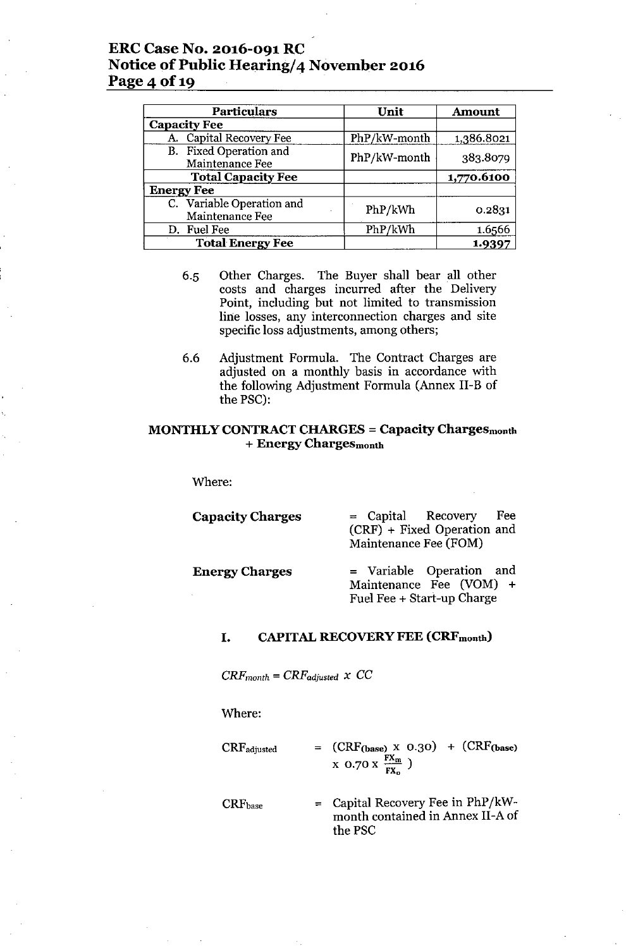# ERC Case No. 2016-091 RC Notice of Public Hearing/4 November 2016 Page 4 of 19

| <b>Particulars</b>                           | Unit         | <b>Amount</b> |  |
|----------------------------------------------|--------------|---------------|--|
| <b>Capacity Fee</b>                          |              |               |  |
| A. Capital Recovery Fee                      | PhP/kW-month | 1,386.8021    |  |
| B. Fixed Operation and<br>Maintenance Fee    | PhP/kW-month | 383.8079      |  |
| <b>Total Capacity Fee</b>                    |              | 1,770.6100    |  |
| <b>Energy Fee</b>                            |              |               |  |
| C. Variable Operation and<br>Maintenance Fee | PhP/kWh      | 0.2831        |  |
| D. Fuel Fee                                  | PhP/kWh      | 1.6566        |  |
| <b>Total Energy Fee</b>                      |              | 1.9397        |  |

- 6.5 Other Charges. The Buyer shall bear all other costs and charges incurred after the Delivery Point, including but not limited to transmission line losses, any interconnection charges and site specific loss adjustments, among others;
- 6.6 Adjustment Formula. The Contract Charges are adjusted on a monthly basis in accordance with the following Adjustment Formula (Annex II-B of the PSC):

### MONTHLY CONTRACT CHARGES = Capacity Chargesmonth + Energy Chargesmonth

Where:

| <b>Capacity Charges</b> | $=$ Capital Recovery<br>Fee<br>(CRF) + Fixed Operation and<br>Maintenance Fee (FOM) |
|-------------------------|-------------------------------------------------------------------------------------|
| <b>Energy Charges</b>   | = Variable Operation and<br>Maintenance Fee (VOM) +<br>Fuel Fee + Start-up Charge   |

#### I. CAPITAL RECOVERY FEE (CRFmonth)

 $CRF_{month} = CRF_{adjusted} \times CC$ 

Where:

 $CRF_{adjusted} = (CRF_{(base)} \times 0.30) + (CRF_{(base)}$  $\rm X$  0.70  $\rm X$   $\frac{FX_m}{FX_o}$  )

CRFbase = Capital Recovery Fee in *PhP/kW*month contained in Annex II-A of the PSC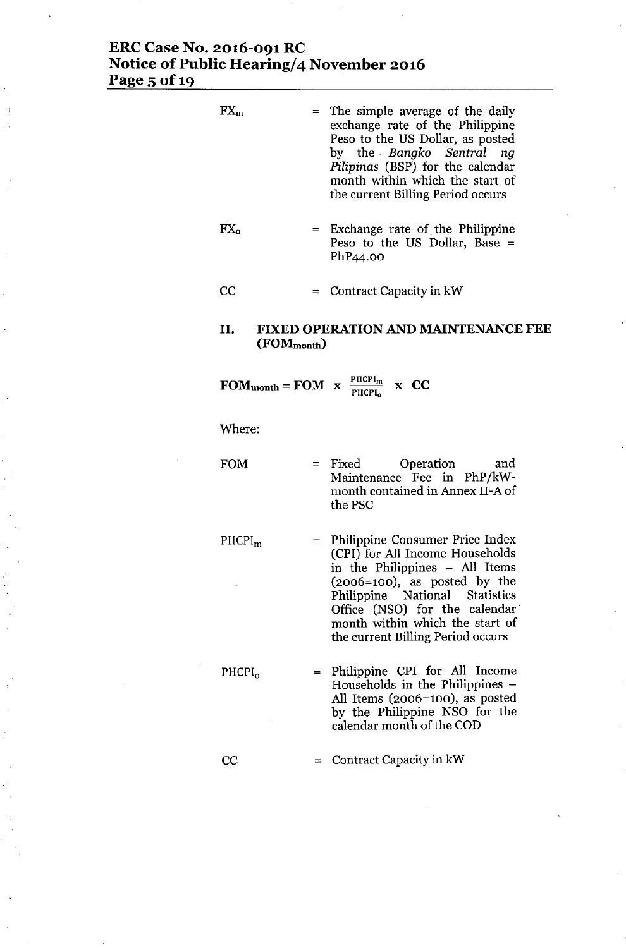# ERC Case No. 2016-091 RC Notice of Public Hearing/4 November 2016 Page 5 of 1

| $FX_m$                       |     | = The simple average of the daily<br>exchange rate of the Philippine<br>Peso to the US Dollar, as posted<br>by the Bangko Sentral ng<br>Pilipinas (BSP) for the calendar<br>month within which the start of<br>the current Billing Period occurs                                   |
|------------------------------|-----|------------------------------------------------------------------------------------------------------------------------------------------------------------------------------------------------------------------------------------------------------------------------------------|
| $\mathop{\rm FX}_\mathrm{o}$ |     | $=$ Exchange rate of the Philippine<br>Peso to the US Dollar, Base $=$<br>PhP44.00                                                                                                                                                                                                 |
| CC                           |     | $=$ Contract Capacity in kW                                                                                                                                                                                                                                                        |
| II.<br>$(FOM_{month})$       |     | <b>FIXED OPERATION AND MAINTENANCE FEE</b>                                                                                                                                                                                                                                         |
|                              |     | <b>FOM</b> <sub>month</sub> = <b>FOM</b> $x \frac{PHCPI_m}{PHCPI_0}$ x <b>CC</b>                                                                                                                                                                                                   |
| Where:                       |     |                                                                                                                                                                                                                                                                                    |
| <b>FOM</b>                   |     | Operation<br>$=$ Fixed<br>and<br>Maintenance Fee in PhP/kW-<br>month contained in Annex II-A of<br>the PSC                                                                                                                                                                         |
| PHCPI <sub>m</sub>           | $=$ | Philippine Consumer Price Index<br>(CPI) for All Income Households<br>in the Philippines - All Items<br>$(2006=100)$ , as posted by the<br>Philippine National Statistics<br>Office (NSO) for the calendar<br>month within which the start of<br>the current Billing Period occurs |
| PHCPI <sub>0</sub>           |     | Philippine CPI for All Income<br>Households in the Philippines -<br>All Items (2006=100), as posted<br>by the Philippine NSO for the<br>calendar month of the COD                                                                                                                  |

C<sub>C</sub> = Contract Capacity in kW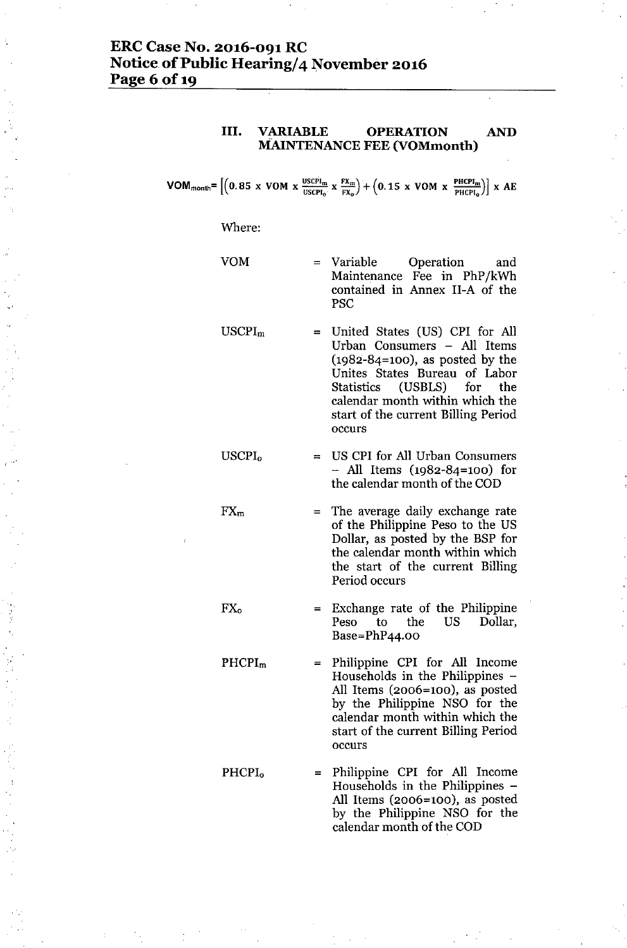# **ERCCase No. 2016-091 RC Notice** of Public **Hearing/4 November 2016 Page** 6 of 19

### **III. VARIABLE OPERATION AND MAINTENANCE FEE (VOMmonth)**

 $VOM_{month} = \left[ \left( 0.85 \times VOM \times \frac{USCH_m}{USCH_o} \times \frac{FX_m}{FX_o} \right) + \left( 0.15 \times VOM \times \frac{PHCH_m}{PHCH_o} \right) \right] \times AE$ 

#### Where:

USCPI<sub>0</sub>

 $FX<sub>m</sub>$ 

 $FX_{o}$ 

VOM

= Variable Operation and Maintenance Fee in PhP/kWh contained in Annex II-A of the PSC

- USCPI<sup>m</sup> = United States (US) CPI for All Urban Consumers - All Items (1982-84=100), as posted by the Unites States Bureau of Labor Statistics (USBLS) for the calendar month within which the start of the current Billing Period occurs
	- = US CPI for All Urban Consumers - All Items (1982-84=100) for the calendar month of the COD
		- = The average daily exchange rate of the Philippine Peso to the US Dollar, as posted by the BSP for the calendar month within which the start of the current Billing Period occurs
		- Exchange rate of the Philippine Peso to the US Dollar, Base=PhP44.00
- PHCPI<sup>m</sup> = Philippine CPI for All Income Households in the Philippines - All Items (2006=100), as posted by the Philippine NSO for the calendar month within which the start of the current Billing Period occurs
- PHCPI<sup>o</sup> = Philippine CPI for All Income Households in the Philippines - All Items (2006=100), as posted by the Philippine NSO for the calendar month of the COD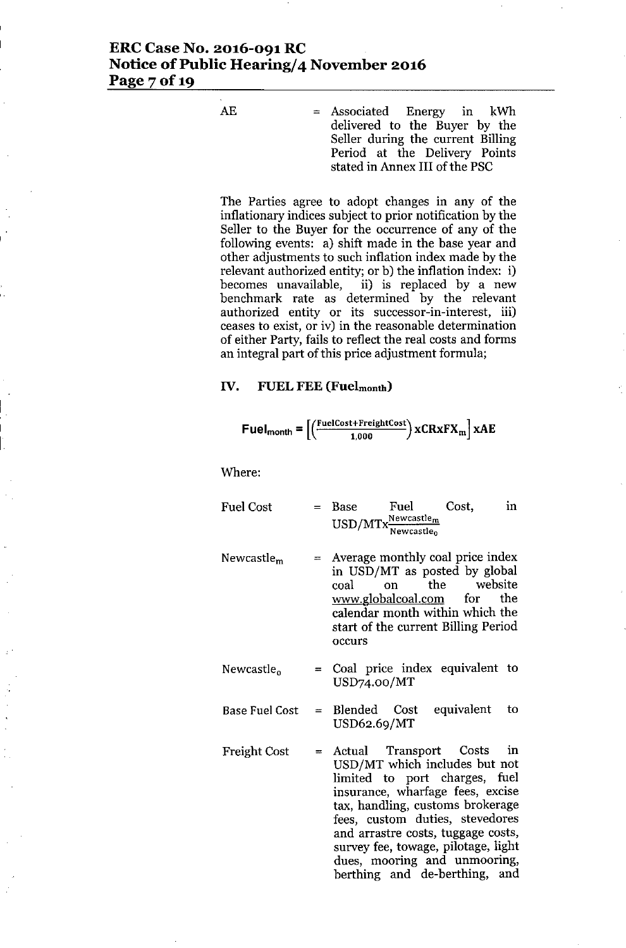## **ERCCase No. 2016-091 RC Notice** of Public **Hearing/4 November 2016** Page 7 of 19

 $AE$  = Associated Energy in kWh delivered to the Buyer by the Seller during the current Billing Period at the Delivery Points stated in Annex III of the PSC

The Parties agree to adopt changes in any of the inflationary indices subject to prior notification by the Seller to the Buyer for the occurrence of any of the following events: a) shift made in the base year and other adjustments to such inflation index made by the relevant authorized entity; or b) the inflation index: i) becomes unavailable, ii) is replaced by a new benchmark rate as determined by the relevant authorized entity or its successor-in-interest, iii) ceases to exist, or iv) in the reasonable determination of either Party, fails to reflect the real costs and forms an integral part of this price adjustment formula;

#### **IV. FUEL FEE (Fuelmonth)**

$$
\text{Fuel}_{\text{month}} = \left[ \left( \frac{\text{FuelCost + FreightCost}}{1,000} \right) \text{xCRxFX}_{\text{m}} \right] \text{xAE}
$$

Where:

- Fuel Cost  $=$  Base Fuel Cost,<br> $F_{\text{HSD}}/M_{\text{T}}$ , Newcastle<sub>m</sub> USD/MTx<sup>Newcastle</sup>r **Newcastleo** in
- Newcastle<sup>m</sup> Average monthly coal price index in USD/MT as posted by global coal on the website [www.globalcoal.com](http://www.globalcoal.com) for the calendar month within which the start of the current Billing Period occurs
- Newcastle<sub>o</sub> = Coal price index equivalent to USD74.oo/MT
- Base Fuel Cost = Blended  $Cost$  equivalent to USD62.69/MT
- Freight Cost = Actual Transport Costs in USD/MT which includes but not limited to port charges, fuel insurance, wharfage fees, excise tax, handling, customs brokerage fees, custom duties, stevedores and arrastre costs, tuggage costs, survey fee, towage, pilotage, light dues, mooring and unmooring, berthing and de-berthing, and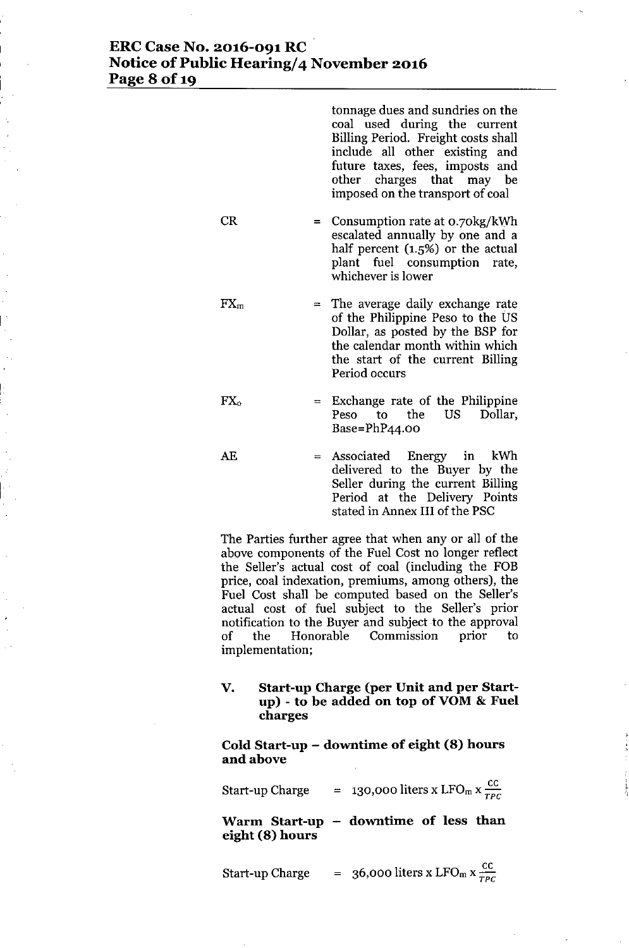# **ERC Case No. 2016-091 RC Notice** of Public **Hearing/4 November 2016 Page 8** of 19

I

|                                                                                                                                                                     | tonnage dues and sundries on the<br>coal used during the current<br>Billing Period. Freight costs shall<br>include all other existing and<br>future taxes, fees, imposts and<br>other charges that may be<br>imposed on the transport of coal |  |  |  |  |  |
|---------------------------------------------------------------------------------------------------------------------------------------------------------------------|-----------------------------------------------------------------------------------------------------------------------------------------------------------------------------------------------------------------------------------------------|--|--|--|--|--|
| CR                                                                                                                                                                  | = Consumption rate at $o.70\text{kg/kWh}$<br>escalated annually by one and a<br>half percent (1.5%) or the actual<br>plant fuel consumption rate,<br>whichever is lower                                                                       |  |  |  |  |  |
| $FX_m$                                                                                                                                                              | $=$ The average daily exchange rate<br>of the Philippine Peso to the US<br>Dollar, as posted by the BSP for<br>the calendar month within which<br>the start of the current Billing<br>Period occurs                                           |  |  |  |  |  |
| $\Gamma X_0$                                                                                                                                                        | Exchange rate of the Philippine<br>$=$<br>Peso to the US<br>Dollar,<br>$Base = PhP44.00$                                                                                                                                                      |  |  |  |  |  |
| AE                                                                                                                                                                  | Associated Energy in kWh<br>$=$<br>delivered to the Buyer by the<br>Seller during the current Billing<br>Period at the Delivery Points<br>stated in Annex III of the PSC                                                                      |  |  |  |  |  |
| The Parties further agree that when any or all of the<br>above components of the Fuel Cost no longer reflect<br>the Seller's actual cost of coal (including the FOB |                                                                                                                                                                                                                                               |  |  |  |  |  |

price, coal indexation, premiums, among others), the Fuel Cost shall be computed based on the Seller's actual cost of fuel subject to the Seller's prior notification to the Buyer and subject to the approval of the Honorable Commission prior to implementation;

### **V. Start-up Charge (per Unit and per Startup) - to be added on top ofVOM & Fuel charges**

**Cold Start-up - downtime of eight (8) hours** and above

Start-up Charge = 130,000 liters x LFO<sub>m</sub> x  $\frac{cc}{TPC}$ 

**Warm Start-up downtime of less than eight (8) hours**

| Start-up Charge |  | = 36,000 liters x LFO <sub>m</sub> x $\frac{cc}{TPC}$ |  |
|-----------------|--|-------------------------------------------------------|--|
|-----------------|--|-------------------------------------------------------|--|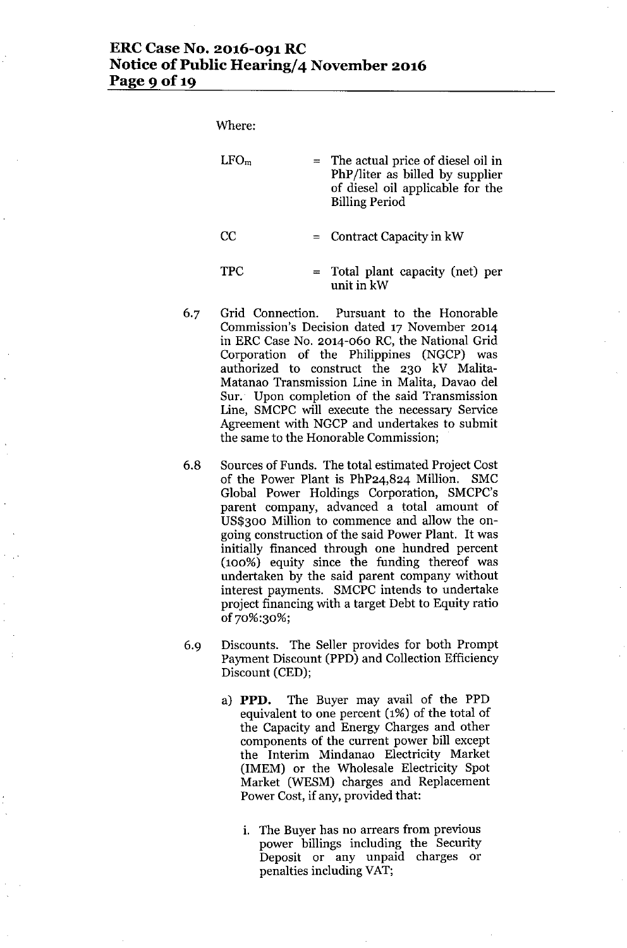# **ERC Case No. 2016-091 RC Notice** of Public **Hearing/4 November 2016** Page 9 of 19

Where:

| LFO <sub>m</sub> | = The actual price of diesel oil in<br>PhP/liter as billed by supplier<br>of diesel oil applicable for the<br><b>Billing Period</b> |
|------------------|-------------------------------------------------------------------------------------------------------------------------------------|
| CC               | $=$ Contract Capacity in kW                                                                                                         |
| <b>TPC</b>       | $=$ Total plant capacity (net) per<br>unit in kW                                                                                    |

- 6.7 Grid Connection. Pursuant to the Honorable Commission's Decision dated 17 November 2014 in ERC Case No. 2014-060 RC, the National Grid Corporation of the Philippines (NGCP) was authorized to construct the 230 kV Malita-Matanao Transmission Line in Malita, Davao del Sur. Upon completion of the said Transmission Line, SMCPC will execute the necessary Service Agreement with NGCP and undertakes to submit the same to the Honorable Commission;
- 6.8 Sources of Funds. The total estimated Project Cost of the Power Plant is PhP24,824 Million. SMC Global Power Holdings Corporation, SMCPC's parent company, advanced a total amount of US\$300 Million to commence and allow the ongoing construction of the said Power Plant. It was initially financed through one hundred percent (100%) equity since the funding thereof was undertaken by the said parent company without interest payments. SMCPC intends to undertake project financing with a target Debt to Equity ratio of70%:30%;
- 6.9 Discounts. The Seller provides for both Prompt Payment Discount (PPD) and Collection Efficiency Discount (CED);
	- a) **PPD.** The Buyer may avail of the PPD equivalent to one percent (1%) of the total of the Capacity and Energy Charges and other components of the current power bill except the Interim Mindanao Electricity Market (IMEM) or the Wholesale Electricity Spot Market (WESM) charges and Replacement Power Cost, if any, provided that:
		- i. The Buyer has no arrears from previous power billings including the Security Deposit or any unpaid charges or penalties including VAT;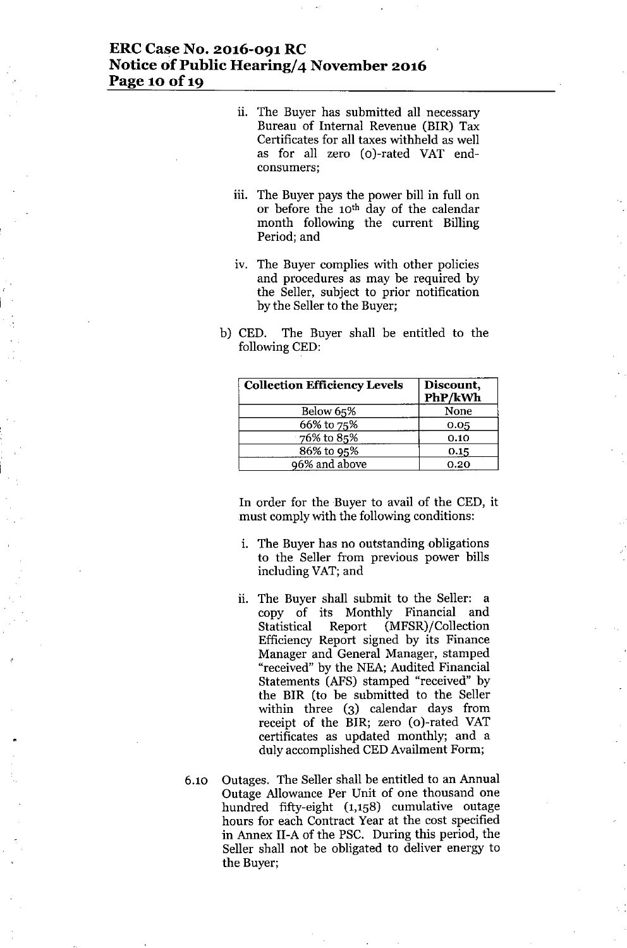### **ERCCase No. 2016-091 RC Notice of Public Hearing/4 November 2016 Page 10 Of19**

- ii. The Buyer has submitted all necessary Bureau of Internal Revenue (BIR) Tax Certificates for all taxes withheld as well as for all zero (o)-rated VAT endconsumers;
- iii. The Buyer pays the power bill in full on or before the 10th day of the calendar month following the current Billing Period; and
- iv. The Buyer complies with other policies and procedures as may be required by the Seller, subject to prior notification by the Seller to the Buyer;
- b) CED. The Buyer shall be entitled to the following CED:

| <b>Collection Efficiency Levels</b> | Discount,<br>PhP/kWh |
|-------------------------------------|----------------------|
| Below 65%                           | None                 |
| 66% to 75%                          | 0.05                 |
| 76% to 85%                          | 0.10                 |
| 86% to 95%                          | 0.15                 |
| 96% and above                       | 0.20                 |

In order for the Buyer to avail of the CED, it must comply with the following conditions:

- i. The Buyer has no outstanding obligations to the Seller from previous power bills including VAT;and
- ii. The Buyer shall submit to the Seller: a copy of its Monthly Financial and Statistical Report (MFSR)/Collection Efficiency Report signed by its Finance Manager and General Manager, stamped "received" by the NEA; Audited Financial Statements (AFS) stamped "received" by the BlR (to be submitted to the Seller within three (3) calendar days from receipt of the BIR; zero (o)-rated VAT certificates as updated monthly; and a duly accomplished CEDAvailment Form;
- 6.10 Outages. The Seller shall be entitled to an Annual Outage Allowance Per Unit of one thousand one hundred fifty-eight (1,158) cumulative outage hours for each Contract Year at the cost specified in Annex II-A of the PSC. During this period, the Seller shall not be obligated to deliver energy to the Buyer;

•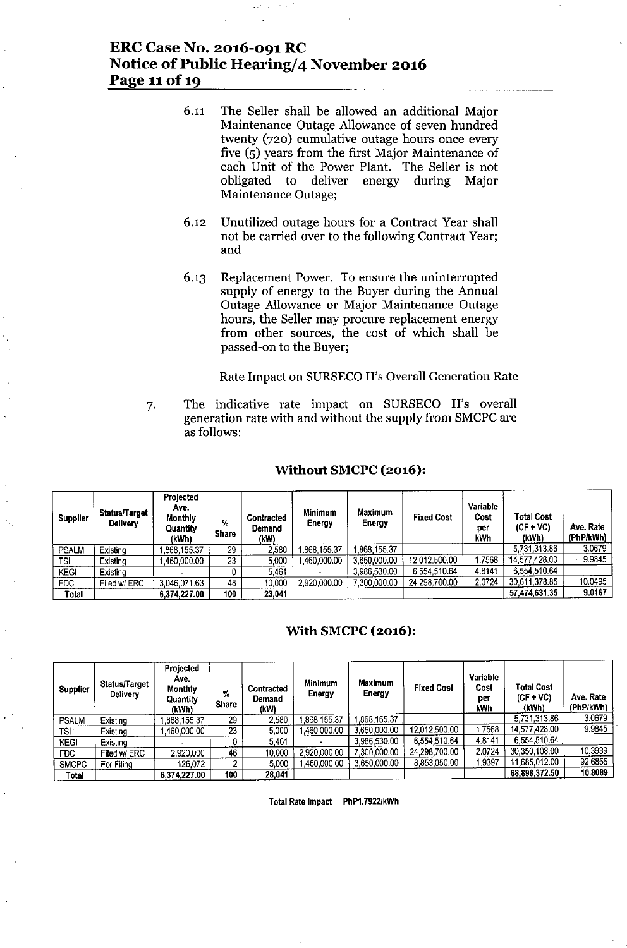# **ERC Case No. 2016-091 RC Notice** of Public **Hearing/4 November 2016 Page 11**of 19

- 6.11 The Seller shall be allowed an additional Major Maintenance Outage Allowance of seven hundred twenty (720) cumulative outage hours once every five (5) years from the first Major Maintenance of each Unit of the Power Plant. The Seller is not obligated to deliver energy during Major Maintenance Outage;
- 6.12 Unutilized outage hours for a Contract Year shall not be carried over to the following Contract Year; and
- 6.13 Replacement Power. To ensure the uninterrupted supply of energy to the Buyer during the Annual Outage Allowance or Major Maintenance Outage hours, the Seller may procure replacement energy from other sources, the cost of which shall be passed-on to the Buyer;

Rate Impact on SURSECO II's Overall Generation Rate

7. The indicative rate impact on SURSECO II's overall generation rate with and without the supply from SMCPCare as follows:

#### **Without SMCPC (2016):**

| <b>Supplier</b> | Status/Target<br><b>Delivery</b> | Projected<br>Ave.<br>Monthly<br>Quantity<br>(kWh) | %<br><b>Share</b> | <b>Contracted</b><br>Demand<br>(kW) | <b>Minimum</b><br><b>Energy</b> | <b>Maximum</b><br><b>Energy</b> | <b>Fixed Cost</b> | Variable<br>Cost<br>per<br>kWh | Total Cost<br>$(CF + VC)$<br>(kWh) | Ave. Rate<br>(PhP/kWh) |
|-----------------|----------------------------------|---------------------------------------------------|-------------------|-------------------------------------|---------------------------------|---------------------------------|-------------------|--------------------------------|------------------------------------|------------------------|
| <b>PSALM</b>    | Existina                         | ,868,155.37                                       | 29.               | 2,580                               | ,868.155.37                     | .868.155.37                     |                   |                                | 5,731,313.86                       | 3.0679                 |
| TSI             | Existina                         | .460.000.00                                       | 23                | 5,000                               | .460.000.00                     | 3,650,000.00                    | 12,012,500.00     | .7568                          | 14,577,428.00                      | 9.9845                 |
| <b>KEGI</b>     | Existina                         |                                                   |                   | 5.461                               |                                 | 3.986.530.00                    | 6,554,510.64      | 4.8141                         | 6,554,510.64                       |                        |
| <b>FDC</b>      | Filed w/ ERC                     | 3,046,071.63                                      | 48                | 10,000                              | 2,920,000.00                    | 7.300.000.00                    | 24,298,700.00     | 2.0724                         | 30.611.378.85                      | 10.0495                |
| <b>Total</b>    |                                  | 6,374,227.00                                      | 100               | 23.041                              |                                 |                                 |                   |                                | 57,474,631.35                      | 9.0167                 |

### **With SMCPC (2016):**

| <b>Supplier</b> | Status/Target<br><b>Delivery</b> | Projected<br>Avc.<br><b>Monthly</b><br><b>Quantity</b><br>(kWh) | %<br><b>Share</b> | Contracted<br>Demand<br>(kW) | Minimum<br><b>Energy</b> | <b>Maximum</b><br>Energy | <b>Fixed Cost</b> | <b>Variable</b><br>Cost<br>per<br>kWh | Total Cost<br>$(CF+VC)$<br>(kWh) | Ave. Rate<br>(PhP/kWh) |
|-----------------|----------------------------------|-----------------------------------------------------------------|-------------------|------------------------------|--------------------------|--------------------------|-------------------|---------------------------------------|----------------------------------|------------------------|
| <b>PSALM</b>    | Existing                         | ,868,155.37                                                     | 29                | 2,580                        | 1.868.155.37             | ,868,155.37              |                   |                                       | 5,731,313.86                     | 3.0679                 |
| TSI:            | Existing                         | .460.000.00                                                     | 23                | 5,000                        | 1.460.000.00             | 3,650,000.00             | 12,012,500.00     | .7568                                 | 14.577.428.00                    | 9.9845                 |
| <b>KEGI</b>     | Existina                         |                                                                 |                   | 5.461                        |                          | 3,986,530.00             | 6,554,510.64      | 4.8141                                | 6.554 510.64                     |                        |
| FDC.            | Filed w/ ERC                     | 2,920,000                                                       | 46                | 10,000                       | 2,920,000.00             | 7.300.000.00             | 24.298.700.00     | 2.0724                                | 30,350,108.00                    | 10.3939                |
| <b>SMCPC</b>    | For Filing                       | 126.072                                                         | Ω                 | 5.000                        | ,460,000.00              | 3,650,000.00             | 8.853.050.00      | .9397                                 | 11.685.012.00                    | 92 68 55               |
| Total           |                                  | 6,374,227.00                                                    | 100               | 28,041                       |                          |                          |                   |                                       | 68,898,372.50                    | 10.8089                |

Total Rate Impact PhP1.79221kWh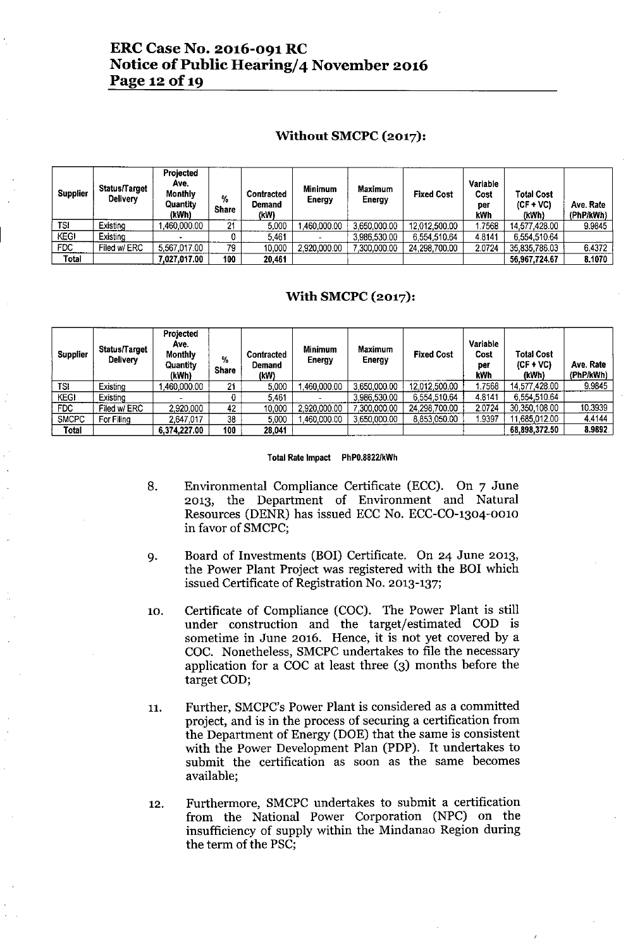# **ERC Case No. 2016-091 RC Notice** of Public **Hearing/4 November 2016 Page 12 Of19**

#### **Without SMCPC (2017):**

| <b>Supplier</b> | <b>Status∏arget</b><br><b>Delivery</b> | <b>Projected</b><br>Ave.<br>Monthly<br>Quantity<br>(kWh) | %<br><b>Share</b> | <b>Contracted</b><br>Demand<br>(kW) | <b>Minimum</b><br><b>Energy</b> | Maximum<br>Energy | <b>Fixed Cost</b> | Variable<br>Cost<br>per<br>kWh | <b>Total Cost</b><br>$(CF + VC)$<br>(kWh) | Ave. Rate<br>(PhP/kWh) |
|-----------------|----------------------------------------|----------------------------------------------------------|-------------------|-------------------------------------|---------------------------------|-------------------|-------------------|--------------------------------|-------------------------------------------|------------------------|
| TSI             | Existing                               | ,460,000.00                                              | 21                | 5.000                               | .460.000.00                     | 3,650,000.00      | 12.012.500.00     | .7568                          | 14.577.428.00                             | 9.9845                 |
| <b>KEGI</b>     | Existina                               |                                                          |                   | 5.461                               |                                 | 3.986.530.00      | 6.554.510.64      | 4.8141                         | 6,554,510.64                              |                        |
| FDC.            | Filed w/ ERC                           | 5,567,017.00                                             | 79                | 10.000                              | 2,920,000.00                    | 7.300.000.00      | 24.298.700.00     | 2.0724                         | 35,835,786.03                             | 6.4372                 |
| Total           |                                        | 7,027,017.00                                             | 100               | 20.461                              |                                 |                   |                   |                                | 56.967.724.67                             | 8.1070                 |

### **With SMCPC (2017):**

| <b>Supplier</b> | Status∏arget<br><b>Delivery</b> | Projected<br>Ave.<br><b>Monthly</b><br>Quantity<br>(kWh) | %<br><b>Share</b> | Contracted<br>Demand<br>(kW) | Minimum<br>Energy | <b>Maximum</b><br>Energy | <b>Fixed Cost</b> | Variable<br>Cost<br>per<br>kWh | <b>Total Cost</b><br>$(CF + VC)$<br>(kWh) | Ave. Rate<br>(PhP/kWh) |
|-----------------|---------------------------------|----------------------------------------------------------|-------------------|------------------------------|-------------------|--------------------------|-------------------|--------------------------------|-------------------------------------------|------------------------|
| <b>TSI</b>      | Existing                        | .460.000.00                                              | 21                | 5.000                        | ,460,000.00       | 3,650,000.00             | 12,012,500.00     | 1.7568                         | 14.577.428.00                             | 9.9845                 |
| <b>KEGI</b>     | Existina                        |                                                          |                   | 5461                         |                   | 3.986.530.00             | 6.554.510.64      | 4.8141                         | 6,554,510.64                              |                        |
| FDC             | Filed w/ ERC                    | 2,920,000                                                | 42                | 10,000                       | 2,920,000.00      | 300.000.00               | 24,298,700.00     | 2.0724                         | 30,350,108.00                             | 10.3939                |
| <b>SMCPC</b>    | For Filing                      | 2,647.017                                                | 38                | 5.000                        | ,460,000.00       | 3.650.000.00             | 8,853,050.00      | 1.9397                         | 11,685,012.00                             | 4.4144                 |
| Total           |                                 | 6,374,227.00                                             | 100               | 28.041                       |                   |                          |                   |                                | 68,898,372.50                             | 8.9892                 |

#### Total Rate Impact PhPO.8822/kWh

- 8. Environmental Compliance Certificate (ECC). On 7 June 2013, the Department of Environment and Natural Resources (DENR) has issued ECC No. ECC-CO-1304-001O in favor of SMCPC;
- 9. Board of Investments (BOI) Certificate. On 24 June 2013, the Power Plant Project was registered with the BOI which issued Certificate of Registration No. 2013-137;
- 10. Certificate of Compliance (COC). The Power Plant is still under construction and the target/estimated COD is sometime in June 2016. Hence, it is not yet covered by a COC. Nonetheless, SMCPC undertakes to file the necessary application for a COC at least three (3) months before the target COD;
- 11. Further, SMCPC's Power Plant is considered as a committed project, and is in the process of securing a certification from the Department of Energy (DOE) that the same is consistent with the Power Development Plan (PDP). It undertakes to submit the certification as soon as the same becomes available;
- 12. Furthermore, SMCPC undertakes to submit a certification from the National Power Corporation (NPC) on the insufficiency of supply within the Mindanao Region during the term of the PSC;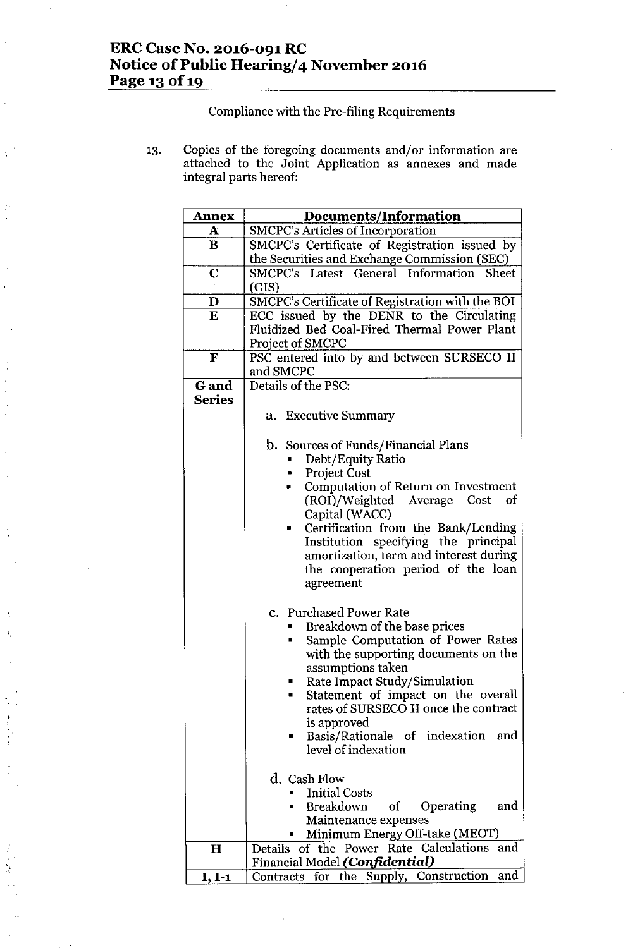# **ERC Case No. 2016-091 RC Notice** of Public **Hearing/4 November 2016 Page 13 Of19**

 $\boldsymbol{i}$ 

đ,

 $\mathcal{N}$ 

 $\frac{1}{2}$ 

Compliance with the Pre-filing Requirements

13. Copies of the foregoing documents and/or information are attached to the Joint Application as annexes and made integral parts hereof:

| <b>Annex</b>  | <b>Documents/Information</b>                                       |  |  |  |  |  |  |
|---------------|--------------------------------------------------------------------|--|--|--|--|--|--|
| A             | <b>SMCPC's Articles of Incorporation</b>                           |  |  |  |  |  |  |
| $\bf{B}$      | SMCPC's Certificate of Registration issued by                      |  |  |  |  |  |  |
|               | the Securities and Exchange Commission (SEC)                       |  |  |  |  |  |  |
| C             | SMCPC's Latest General Information Sheet                           |  |  |  |  |  |  |
|               | (GIS)                                                              |  |  |  |  |  |  |
| $\mathbf{D}$  | SMCPC's Certificate of Registration with the BOI                   |  |  |  |  |  |  |
| $\bf{E}$      | ECC issued by the DENR to the Circulating                          |  |  |  |  |  |  |
|               | Fluidized Bed Coal-Fired Thermal Power Plant                       |  |  |  |  |  |  |
|               | Project of SMCPC                                                   |  |  |  |  |  |  |
| ${\bf F}$     | PSC entered into by and between SURSECO II                         |  |  |  |  |  |  |
|               | and SMCPC                                                          |  |  |  |  |  |  |
| G and         | Details of the PSC:                                                |  |  |  |  |  |  |
| <b>Series</b> |                                                                    |  |  |  |  |  |  |
|               | a. Executive Summary                                               |  |  |  |  |  |  |
|               |                                                                    |  |  |  |  |  |  |
|               | b. Sources of Funds/Financial Plans                                |  |  |  |  |  |  |
|               | Debt/Equity Ratio                                                  |  |  |  |  |  |  |
|               | <b>Project Cost</b><br>в                                           |  |  |  |  |  |  |
|               | Computation of Return on Investment<br>۰                           |  |  |  |  |  |  |
|               | (ROI)/Weighted Average<br>Cost<br>of                               |  |  |  |  |  |  |
|               | Capital (WACC)                                                     |  |  |  |  |  |  |
|               | Certification from the Bank/Lending<br>$\blacksquare$              |  |  |  |  |  |  |
|               | Institution specifying the principal                               |  |  |  |  |  |  |
|               | amortization, term and interest during                             |  |  |  |  |  |  |
|               | the cooperation period of the loan                                 |  |  |  |  |  |  |
|               | agreement                                                          |  |  |  |  |  |  |
|               |                                                                    |  |  |  |  |  |  |
|               | c. Purchased Power Rate                                            |  |  |  |  |  |  |
|               | Breakdown of the base prices                                       |  |  |  |  |  |  |
|               | Sample Computation of Power Rates                                  |  |  |  |  |  |  |
|               | with the supporting documents on the                               |  |  |  |  |  |  |
|               | assumptions taken                                                  |  |  |  |  |  |  |
|               | Rate Impact Study/Simulation<br>Statement of impact on the overall |  |  |  |  |  |  |
|               | rates of SURSECO II once the contract                              |  |  |  |  |  |  |
|               | is approved                                                        |  |  |  |  |  |  |
|               | Basis/Rationale of indexation<br>and<br>п                          |  |  |  |  |  |  |
|               | level of indexation                                                |  |  |  |  |  |  |
|               |                                                                    |  |  |  |  |  |  |
|               | d. Cash Flow                                                       |  |  |  |  |  |  |
|               | <b>Initial Costs</b>                                               |  |  |  |  |  |  |
|               | <b>Breakdown</b><br>of Operating<br>and                            |  |  |  |  |  |  |
|               | Maintenance expenses                                               |  |  |  |  |  |  |
|               | Minimum Energy Off-take (MEOT)                                     |  |  |  |  |  |  |
| $\mathbf H$   | Details of the Power Rate Calculations<br>and                      |  |  |  |  |  |  |
|               | Financial Model (Confidential)                                     |  |  |  |  |  |  |
| $I, I-1$      | Contracts for the Supply, Construction<br>and                      |  |  |  |  |  |  |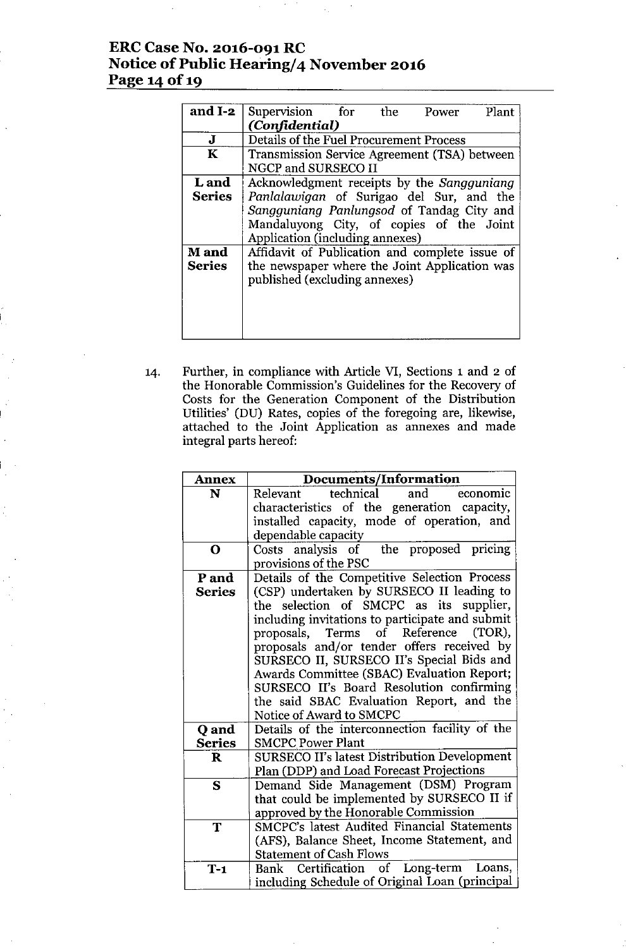# **ERCCase No. 2016-091 RC Notice** of Public **Hearing/4 November 2016 Page 14 Of19**

| and I-2       | Supervision for<br>Plant<br>the<br>Power       |
|---------------|------------------------------------------------|
|               | (Confidential)                                 |
| J             | Details of the Fuel Procurement Process        |
| $\mathbf K$   | Transmission Service Agreement (TSA) between   |
|               | NGCP and SURSECO II                            |
| <b>L</b> and  | Acknowledgment receipts by the Sangguniang     |
| <b>Series</b> | Panlalawigan of Surigao del Sur, and the       |
|               | Sangguniang Panlungsod of Tandag City and      |
|               | Mandaluyong City, of copies of the Joint       |
|               | Application (including annexes)                |
| <b>M</b> and  | Affidavit of Publication and complete issue of |
| <b>Series</b> | the newspaper where the Joint Application was  |
|               | published (excluding annexes)                  |
|               |                                                |
|               |                                                |
|               |                                                |
|               |                                                |

14. Further, in compliance with Article VI, Sections 1 and 2 of the Honorable Commission's Guidelines for the Recovery of Costs for the Generation Component of the Distribution Utilities' (DU) Rates, copies of the foregoing are, likewise, attached to the Joint Application as annexes and made integral parts hereof:

| <b>Annex</b>  | Documents/Information                                                               |
|---------------|-------------------------------------------------------------------------------------|
| N             | technical<br>and<br>economic<br>Relevant                                            |
|               | characteristics of the generation capacity,                                         |
|               | installed capacity, mode of operation, and                                          |
|               | dependable capacity                                                                 |
| O             | Costs analysis of the proposed pricing                                              |
|               | provisions of the PSC                                                               |
| P and         | Details of the Competitive Selection Process                                        |
| <b>Series</b> | (CSP) undertaken by SURSECO II leading to                                           |
|               | the selection of SMCPC as its supplier,                                             |
|               | including invitations to participate and submit                                     |
|               | Terms of Reference (TOR),<br>proposals,                                             |
|               | proposals and/or tender offers received by                                          |
|               | SURSECO II, SURSECO II's Special Bids and                                           |
|               | Awards Committee (SBAC) Evaluation Report;                                          |
|               | SURSECO II's Board Resolution confirming                                            |
|               | the said SBAC Evaluation Report, and the                                            |
|               | Notice of Award to SMCPC                                                            |
| Q and         | Details of the interconnection facility of the                                      |
| <b>Series</b> | <b>SMCPC Power Plant</b>                                                            |
| $\bf{R}$      | SURSECO II's latest Distribution Development                                        |
|               | Plan (DDP) and Load Forecast Projections                                            |
| S             | Demand Side Management (DSM) Program                                                |
|               | that could be implemented by SURSECO II if                                          |
| T             | approved by the Honorable Commission<br>SMCPC's latest Audited Financial Statements |
|               |                                                                                     |
|               | (AFS), Balance Sheet, Income Statement, and<br><b>Statement of Cash Flows</b>       |
|               |                                                                                     |
| $T-1$         | Certification of Long-term<br>Loans,<br>Bank                                        |
|               | including Schedule of Original Loan (principal                                      |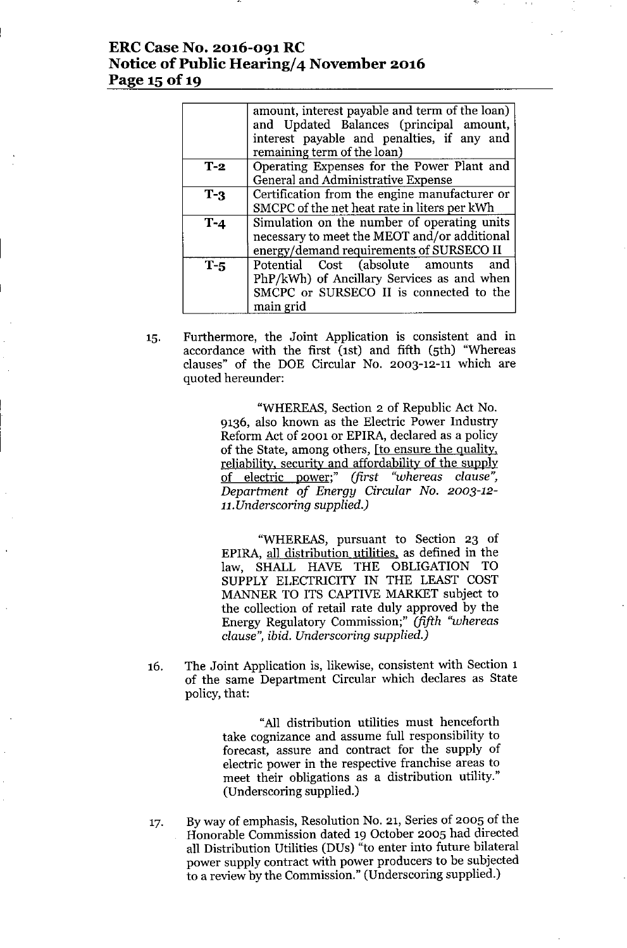### **ERC Case No. 2016-091 RC Notice** of Public **Hearing/4 November 2016 Page 15** of 19

|       | amount, interest payable and term of the loan)<br>and Updated Balances (principal amount,<br>interest payable and penalties, if any and       |
|-------|-----------------------------------------------------------------------------------------------------------------------------------------------|
|       | remaining term of the loan)                                                                                                                   |
| $T-2$ | Operating Expenses for the Power Plant and<br>General and Administrative Expense                                                              |
| $T-3$ | Certification from the engine manufacturer or<br>SMCPC of the net heat rate in liters per kWh                                                 |
| $T-4$ | Simulation on the number of operating units<br>necessary to meet the MEOT and/or additional<br>energy/demand requirements of SURSECO II       |
| $T-5$ | Potential Cost (absolute amounts<br>and<br>PhP/kWh) of Ancillary Services as and when<br>SMCPC or SURSECO II is connected to the<br>main grid |

IS. Furthermore, the Joint Application is consistent and in accordance with the first (1st) and fifth (5th) "Whereas clauses" of the DOE Circular No. 2003-12-11 which are quoted hereunder:

> "WHEREAS, Section 2 of Republic Act No. 9136, also known as the Electric Power Industry Reform Act of 2001 or EPIRA, declared as a policy of the State, among others, [to ensure the quality, reliability, security and affordability of the supply of electric power;" *(first "whereas clause", Department of Energy Circular No. 2003-12- 11.Underscoring supplied.)*

> "WHEREAS, pursuant to Section 23 of EPIRA, all distribution utilities, as defined in the law, SHALL HAVE THE OBLIGATION TO SUPPLY ELECTRICITY IN THE LEAST COST MANNER TO ITS CAPTIVE MARKET subject to the collection of retail rate duly approved by the Energy Regulatory Commission;" *(fifth "whereas clause", ibid. Underscoring supplied.)*

16. The Joint Application is, likewise, consistent with Section 1 of the same Department Circular which declares as State policy, that:

> "All distribution utilities must henceforth take cognizance and assume full responsibility to forecast, assure and contract for the supply of electric power in the respective franchise areas to meet their obligations as a distribution utility," (Underscoring supplied.)

17. By way of emphasis, Resolution No. 21, Series of 200S of the Honorable Commission dated 19 October 200S had directed all Distribution Utilities (DUs) "to enter into future bilateral power supply contract with power producers to be subjected to a review by the Commission." (Underscoring supplied.)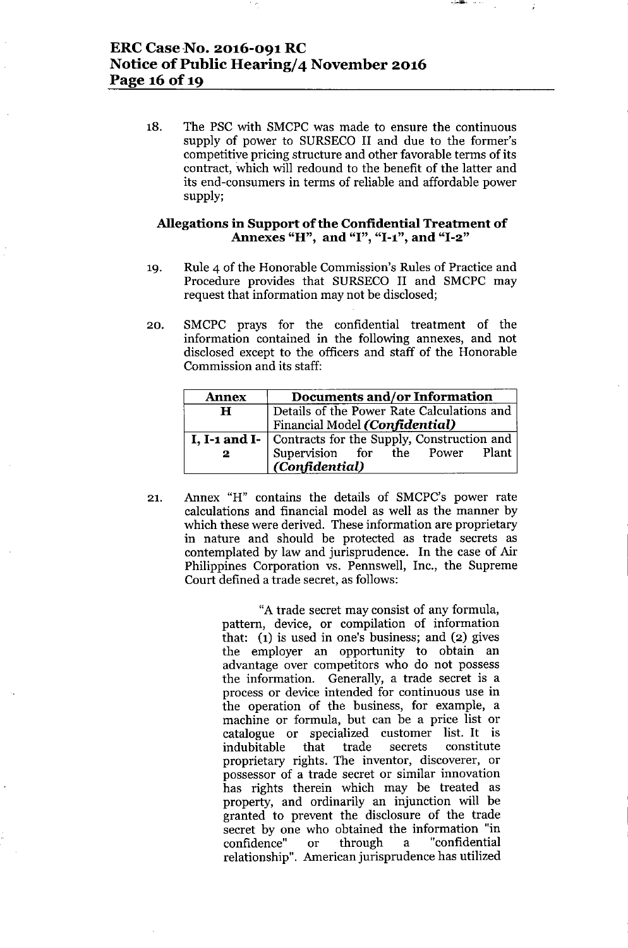# ERC Case No. 2016-091 RC Notice of Public Hearing/4 November 2016 Page 16 of 19

18. The PSC with SMCPC was made to ensure the continuous supply of power to SURSECO II and due to the former's competitive pricing structure and other favorable terms of its contract, which will redound to the benefit of the latter and its end-consumers in terms of reliable and affordable power supply;

### Allegations in Support of the Confidential Treatment of Annexes "H", and "I", "1-1", and "1-2"

- 19. Rule 4 of the Honorable Commission's Rules of Practice and Procedure provides that SURSECO II and SMCPC may request that information may not be disclosed;
- 20. SMCPC prays for the confidential treatment of the information contained in the following annexes, and not disclosed except to the officers and staff of the Honorable Commission and its staff:

| <b>Annex</b> | Documents and/or Information                               |
|--------------|------------------------------------------------------------|
| H            | Details of the Power Rate Calculations and                 |
|              | Financial Model (Confidential)                             |
|              | I, I-1 and I-   Contracts for the Supply, Construction and |
| $\mathbf{2}$ | Supervision for the Power Plant<br>(Confidential)          |

21. Annex "H" contains the details of SMCPC's power rate calculations and financial model as well as the manner by which these were derived. These information are proprietary in nature and should be protected as trade secrets as contemplated by law and jurisprudence. In the case of Air Philippines Corporation vs. Pennswell, Inc., the Supreme Court defined a trade secret, as follows:

> "Atrade secret may consist of any formula, pattern, device, or compilation of information that: (1) is used in one's business; and (2) gives the employer an opportunity to obtain an advantage over competitors who do not possess the information. Generally, a trade secret is a process or device intended for continuous use in the operation of the business, for example, a machine or formula, but can be a price list or catalogue or specialized customer list. It is indubitable that trade secrets constitute proprietary rights. The inventor, discoverer, or possessor of a trade secret or similar innovation has rights therein which may be treated as property, and ordinarily an injunction will be granted to prevent the disclosure of the trade secret by one who obtained the information "in confidence" or through a "confidential confidence" or through a "confidential relationship". American jurisprudence has utilized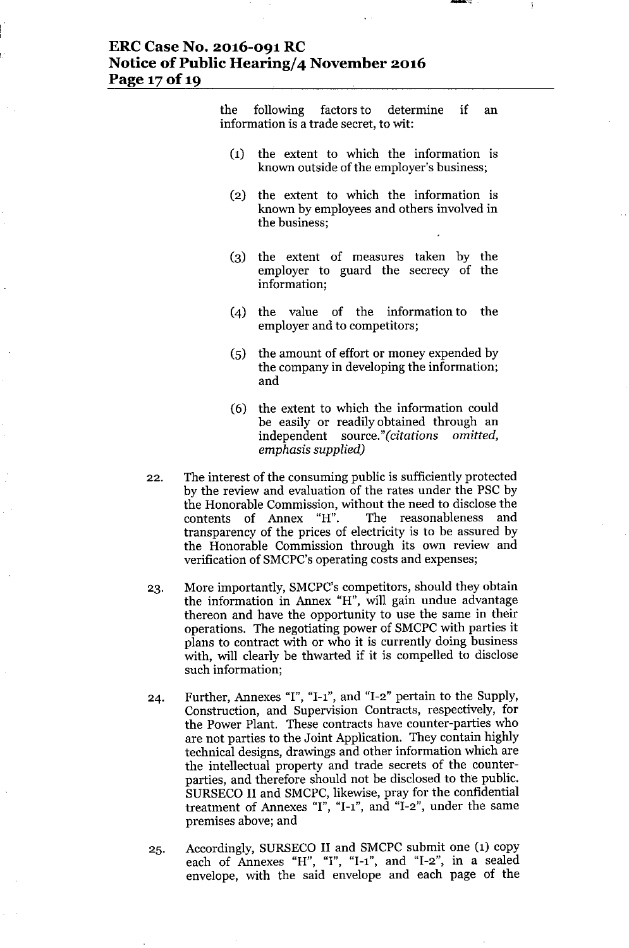## **ERC Case No. 2016-091 RC Notice** of Public **Hearing/4 November 2016 Page** 17of 19

the following factors to determine if an information is a trade secret, to wit:

- (1) the extent to which the information is known outside of the employer's business;
- (2) the extent to which the information is known by employees and others involved in the business;
- (3) the extent of measures taken by the employer to guard the secrecy of the information;
- (4) the value of the information to the employer and to competitors;
- (5) the amount of effort or money expended by the company in developing the information; and
- (6) the extent to which the information could be easily or readily obtained through an independent *source."(citations omitted, emphasis supplied)*
- 22. The interest of the consuming public is sufficiently protected by the review and evaluation of the rates under the PSC by the Honorable Commission, without the need to disclose the contents of Annex "H". The reasonableness and transparency of the prices of electricity is to be assured by the Honorable Commission through its own review and verification of SMCPC's operating costs and expenses;
- 23. More importantly, SMCPC's competitors, should they obtain the information in Annex "H", will gain undue advantage thereon and have the opportunity to use the same in their operations. The negotiating power of SMCPC with parties it plans to contract with or who it is currently doing business with, will clearly be thwarted if it is compelled to disclose such information;
- 24. Further, Annexes "I", "I-I", and "1-2" pertain to the Supply, Construction, and Supervision Contracts, respectively, for the Power Plant. These contracts have counter-parties who are not parties to the Joint Application. They contain highly technical designs, drawings and other information which are the intellectual property and trade secrets of the counterparties, and therefore should not be disclosed to the public. SURSECO II and SMCPC, likewise, pray for the confidential treatment of Annexes "I", "1-1", and "1-2", under the same premises above; and
- 25. Accordingly, SURSECO II and SMCPC submit one (1) copy each of Annexes "H", "1", "1-1", and "1-2", in a sealed envelope, with the said envelope and each page of the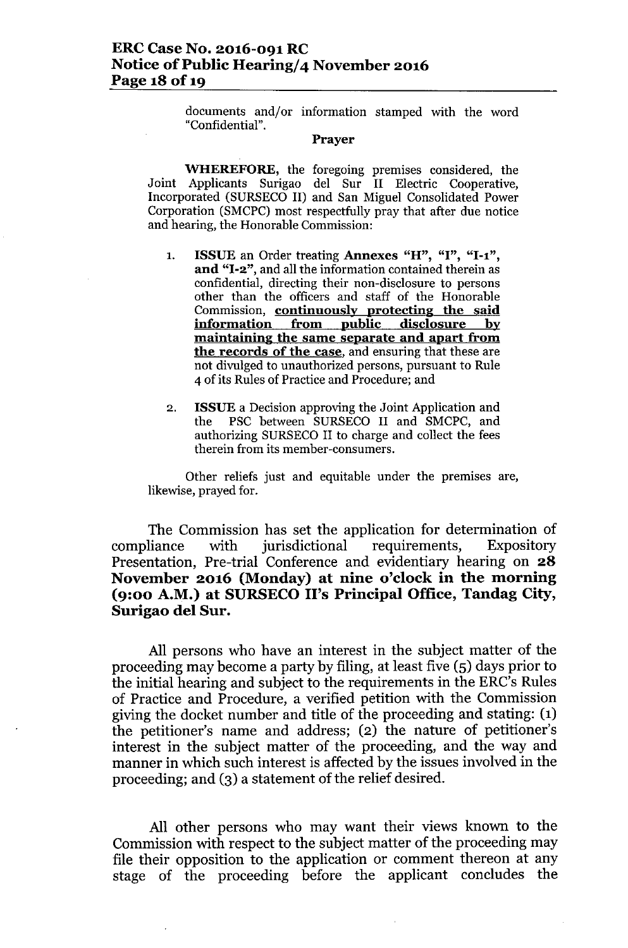documents and/or information stamped with the word "Confidential".

#### Prayer

WHEREFORE, the foregoing premises considered, the Joint Applicants Surigao del Sur II Electric Cooperative, Incorporated (SURSECO II) and San Miguel Consolidated Power Corporation (SMCPC) most respectfully pray that after due notice and hearing, the Honorable Commission:

- 1. ISSUE an Order treating Annexes "H", "I", "I-I", and "I-2", and all the information contained therein as confidential, directing their non-disclosure to persons other than the officers and staff of the Honorable Commission, continuously protecting the said information from public disclosure by maintaining the same separate and apart from the records of the case, and ensuring that these are not divulged to unauthorized persons, pursuant to Rule 4 of its Rules of Practice and Procedure; and
- 2. ISSUE a Decision approving the Joint Application and the PSC between SURSECO II and SMCPC, and authorizing SURSECO II to charge and collect the fees therein from its member-consumers.

Other reliefs just and equitable under the premises are, likewise, prayed for.

The Commission has set the application for determination of compliance with jurisdictional requirements, Expository Presentation, Pre-trial Conference and evidentiary hearing on 28 November 2016 (Monday) at nine o'clock in the morning (9:00 A.M.) at SURSECO II's Principal Office, Tandag City, Surigao del Sur.

All persons who have an interest in the subject matter of the proceeding may become a party by filing, at least five (5) days prior to the initial hearing and subject to the requirements in the ERC's Rules of Practice and Procedure, a verified petition with the Commission giving the docket number and title of the proceeding and stating: (1) the petitioner's name and address; (2) the nature of petitioner's interest in the subject matter of the proceeding, and the way and manner in which such interest is affected by the issues involved in the proceeding; and (3) a statement of the relief desired.

All other persons who may want their views known to the Commission with respect to the subject matter of the proceeding may file their opposition to the application or comment thereon at any stage of the proceeding before the applicant concludes the